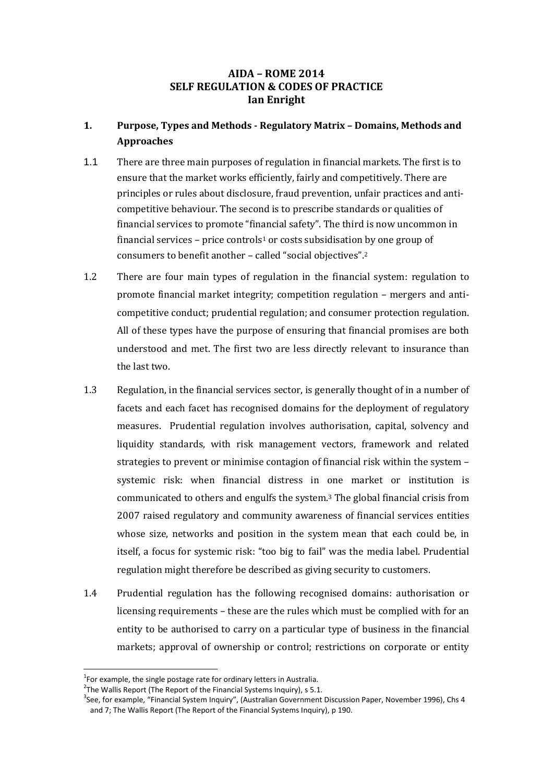# **AIDA – ROME 2014 SELF REGULATION & CODES OF PRACTICE Ian Enright**

# **1. Purpose, Types and Methods - Regulatory Matrix – Domains, Methods and Approaches**

- 1.1 There are three main purposes of regulation in financial markets. The first is to ensure that the market works efficiently, fairly and competitively. There are principles or rules about disclosure, fraud prevention, unfair practices and anticompetitive behaviour. The second is to prescribe standards or qualities of financial services to promote "financial safety". The third is now uncommon in financial services – price controls<sup>1</sup> or costs subsidisation by one group of consumers to benefit another – called "social objectives".<sup>2</sup>
- 1.2 There are four main types of regulation in the financial system: regulation to promote financial market integrity; competition regulation – mergers and anticompetitive conduct; prudential regulation; and consumer protection regulation. All of these types have the purpose of ensuring that financial promises are both understood and met. The first two are less directly relevant to insurance than the last two.
- 1.3 Regulation, in the financial services sector, is generally thought of in a number of facets and each facet has recognised domains for the deployment of regulatory measures. Prudential regulation involves authorisation, capital, solvency and liquidity standards, with risk management vectors, framework and related strategies to prevent or minimise contagion of financial risk within the system – systemic risk: when financial distress in one market or institution is communicated to others and engulfs the system.3 The global financial crisis from 2007 raised regulatory and community awareness of financial services entities whose size, networks and position in the system mean that each could be, in itself, a focus for systemic risk: "too big to fail" was the media label. Prudential regulation might therefore be described as giving security to customers.
- 1.4 Prudential regulation has the following recognised domains: authorisation or licensing requirements – these are the rules which must be complied with for an entity to be authorised to carry on a particular type of business in the financial markets; approval of ownership or control; restrictions on corporate or entity

 $^{1}$ For example, the single postage rate for ordinary letters in Australia.

<sup>&</sup>lt;sup>2</sup>The Wallis Report (The Report of the Financial Systems Inquiry), s 5.1.

<sup>&</sup>lt;sup>3</sup>See, for example, "Financial System Inquiry", (Australian Government Discussion Paper, November 1996), Chs 4 and 7; The Wallis Report (The Report of the Financial Systems Inquiry), p 190.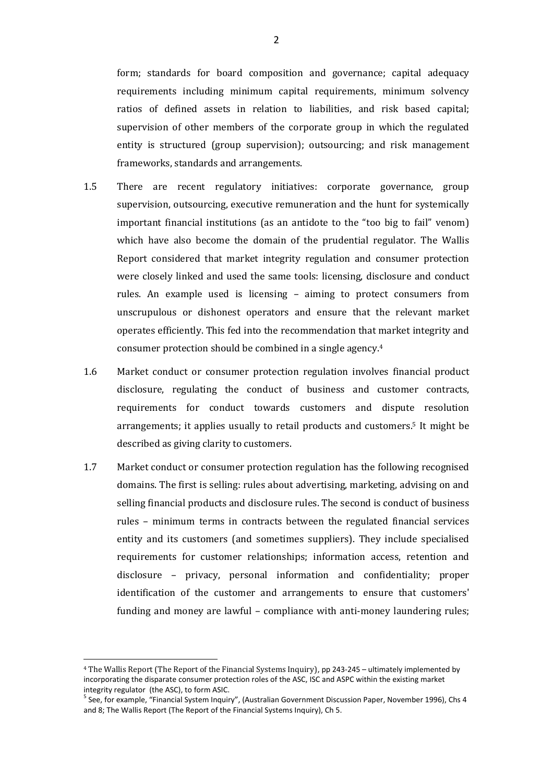form; standards for board composition and governance; capital adequacy requirements including minimum capital requirements, minimum solvency ratios of defined assets in relation to liabilities, and risk based capital; supervision of other members of the corporate group in which the regulated entity is structured (group supervision); outsourcing; and risk management frameworks, standards and arrangements.

- 1.5 There are recent regulatory initiatives: corporate governance, group supervision, outsourcing, executive remuneration and the hunt for systemically important financial institutions (as an antidote to the "too big to fail" venom) which have also become the domain of the prudential regulator. The Wallis Report considered that market integrity regulation and consumer protection were closely linked and used the same tools: licensing, disclosure and conduct rules. An example used is licensing – aiming to protect consumers from unscrupulous or dishonest operators and ensure that the relevant market operates efficiently. This fed into the recommendation that market integrity and consumer protection should be combined in a single agency.<sup>4</sup>
- 1.6 Market conduct or consumer protection regulation involves financial product disclosure, regulating the conduct of business and customer contracts, requirements for conduct towards customers and dispute resolution arrangements; it applies usually to retail products and customers.5 It might be described as giving clarity to customers.
- 1.7 Market conduct or consumer protection regulation has the following recognised domains. The first is selling: rules about advertising, marketing, advising on and selling financial products and disclosure rules. The second is conduct of business rules – minimum terms in contracts between the regulated financial services entity and its customers (and sometimes suppliers). They include specialised requirements for customer relationships; information access, retention and disclosure – privacy, personal information and confidentiality; proper identification of the customer and arrangements to ensure that customers' funding and money are lawful – compliance with anti-money laundering rules;

<sup>4</sup> The Wallis Report (The Report of the Financial Systems Inquiry), pp 243-245 – ultimately implemented by incorporating the disparate consumer protection roles of the ASC, ISC and ASPC within the existing market integrity regulator (the ASC), to form ASIC.

<sup>&</sup>lt;sup>5</sup> See, for example, "Financial System Inquiry", (Australian Government Discussion Paper, November 1996), Chs 4 and 8; The Wallis Report (The Report of the Financial Systems Inquiry), Ch 5.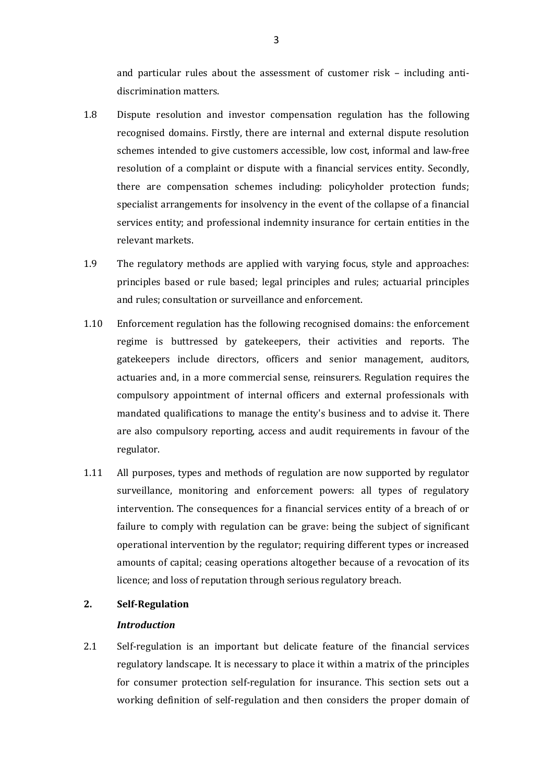and particular rules about the assessment of customer risk – including antidiscrimination matters.

- 1.8 Dispute resolution and investor compensation regulation has the following recognised domains. Firstly, there are internal and external dispute resolution schemes intended to give customers accessible, low cost, informal and law-free resolution of a complaint or dispute with a financial services entity. Secondly, there are compensation schemes including: policyholder protection funds; specialist arrangements for insolvency in the event of the collapse of a financial services entity; and professional indemnity insurance for certain entities in the relevant markets.
- 1.9 The regulatory methods are applied with varying focus, style and approaches: principles based or rule based; legal principles and rules; actuarial principles and rules; consultation or surveillance and enforcement.
- 1.10 Enforcement regulation has the following recognised domains: the enforcement regime is buttressed by gatekeepers, their activities and reports. The gatekeepers include directors, officers and senior management, auditors, actuaries and, in a more commercial sense, reinsurers. Regulation requires the compulsory appointment of internal officers and external professionals with mandated qualifications to manage the entity's business and to advise it. There are also compulsory reporting, access and audit requirements in favour of the regulator.
- 1.11 All purposes, types and methods of regulation are now supported by regulator surveillance, monitoring and enforcement powers: all types of regulatory intervention. The consequences for a financial services entity of a breach of or failure to comply with regulation can be grave: being the subject of significant operational intervention by the regulator; requiring different types or increased amounts of capital; ceasing operations altogether because of a revocation of its licence; and loss of reputation through serious regulatory breach.

## **2. Self-Regulation**

## *Introduction*

2.1 Self-regulation is an important but delicate feature of the financial services regulatory landscape. It is necessary to place it within a matrix of the principles for consumer protection self-regulation for insurance. This section sets out a working definition of self-regulation and then considers the proper domain of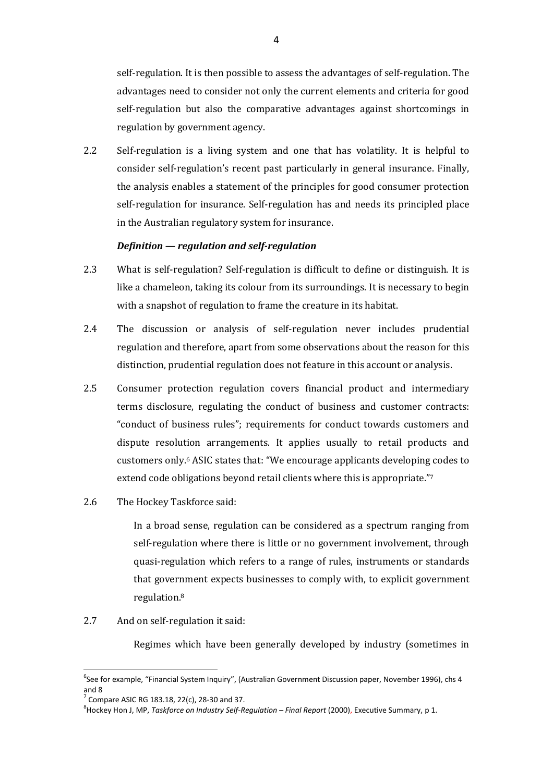self-regulation. It is then possible to assess the advantages of self-regulation. The advantages need to consider not only the current elements and criteria for good self-regulation but also the comparative advantages against shortcomings in regulation by government agency.

2.2 Self-regulation is a living system and one that has volatility. It is helpful to consider self-regulation's recent past particularly in general insurance. Finally, the analysis enables a statement of the principles for good consumer protection self-regulation for insurance. Self-regulation has and needs its principled place in the Australian regulatory system for insurance.

## *Definition — regulation and self-regulation*

- 2.3 What is self-regulation? Self-regulation is difficult to define or distinguish. It is like a chameleon, taking its colour from its surroundings. It is necessary to begin with a snapshot of regulation to frame the creature in its habitat.
- 2.4 The discussion or analysis of self-regulation never includes prudential regulation and therefore, apart from some observations about the reason for this distinction, prudential regulation does not feature in this account or analysis.
- 2.5 Consumer protection regulation covers financial product and intermediary terms disclosure, regulating the conduct of business and customer contracts: "conduct of business rules"; requirements for conduct towards customers and dispute resolution arrangements. It applies usually to retail products and customers only.6 ASIC states that: "We encourage applicants developing codes to extend code obligations beyond retail clients where this is appropriate."<sup>7</sup>
- 2.6 The Hockey Taskforce said:

In a broad sense, regulation can be considered as a spectrum ranging from self-regulation where there is little or no government involvement, through quasi-regulation which refers to a range of rules, instruments or standards that government expects businesses to comply with, to explicit government regulation.<sup>8</sup>

2.7 And on self-regulation it said:

Regimes which have been generally developed by industry (sometimes in

 $\overline{\phantom{a}}$ 

<sup>&</sup>lt;sup>6</sup>See for example, "Financial System Inquiry", (Australian Government Discussion paper, November 1996), chs 4 and 8

<sup>&</sup>lt;sup>7</sup> Compare ASIC RG 183.18, 22(c), 28-30 and 37.

<sup>8</sup> Hockey Hon J, MP, *Taskforce on Industry Self-Regulation – Final Report* (2000), Executive Summary, p 1.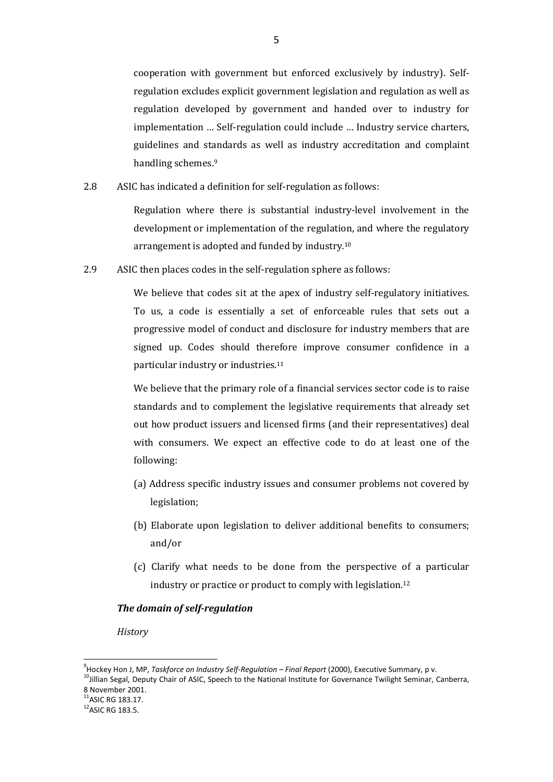cooperation with government but enforced exclusively by industry). Selfregulation excludes explicit government legislation and regulation as well as regulation developed by government and handed over to industry for implementation … Self-regulation could include … Industry service charters, guidelines and standards as well as industry accreditation and complaint handling schemes.<sup>9</sup>

2.8 ASIC has indicated a definition for self-regulation as follows:

Regulation where there is substantial industry-level involvement in the development or implementation of the regulation, and where the regulatory arrangement is adopted and funded by industry*.* 10

2.9 ASIC then places codes in the self-regulation sphere as follows:

We believe that codes sit at the apex of industry self-regulatory initiatives. To us, a code is essentially a set of enforceable rules that sets out a progressive model of conduct and disclosure for industry members that are signed up. Codes should therefore improve consumer confidence in a particular industry or industries.<sup>11</sup>

We believe that the primary role of a financial services sector code is to raise standards and to complement the legislative requirements that already set out how product issuers and licensed firms (and their representatives) deal with consumers. We expect an effective code to do at least one of the following:

- (a) Address specific industry issues and consumer problems not covered by legislation;
- (b) Elaborate upon legislation to deliver additional benefits to consumers; and/or
- (c) Clarify what needs to be done from the perspective of a particular industry or practice or product to comply with legislation.<sup>12</sup>

## *The domain of self-regulation*

*History* 

<sup>9</sup> Hockey Hon J, MP, *Taskforce on Industry Self-Regulation – Final Report* (2000), Executive Summary, p v.

<sup>&</sup>lt;sup>10</sup>Jillian Segal, Deputy Chair of ASIC, Speech to the National Institute for Governance Twilight Seminar, Canberra, 8 November 2001.

 $11$ ASIC RG 183.17.

 $12$ ASIC RG 183.5.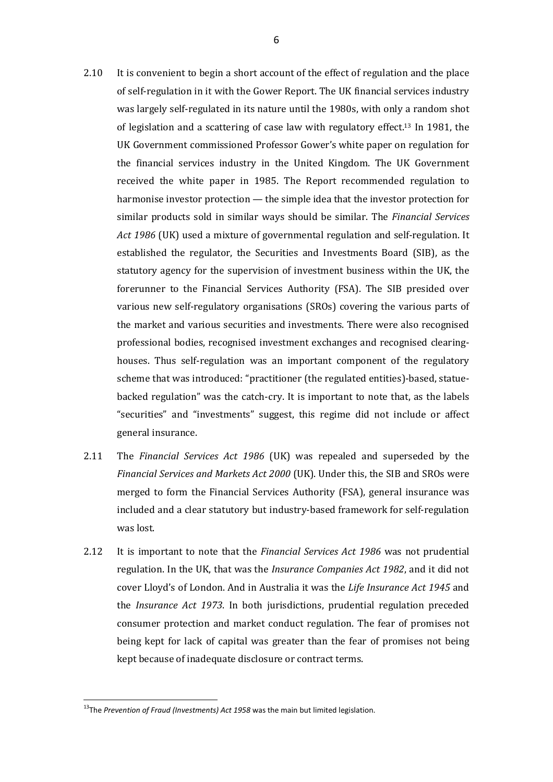- 2.10 It is convenient to begin a short account of the effect of regulation and the place of self-regulation in it with the Gower Report. The UK financial services industry was largely self-regulated in its nature until the 1980s, with only a random shot of legislation and a scattering of case law with regulatory effect.<sup>13</sup> In 1981, the UK Government commissioned Professor Gower's white paper on regulation for the financial services industry in the United Kingdom. The UK Government received the white paper in 1985. The Report recommended regulation to harmonise investor protection — the simple idea that the investor protection for similar products sold in similar ways should be similar. The *Financial Services Act 1986* (UK) used a mixture of governmental regulation and self-regulation. It established the regulator, the Securities and Investments Board (SIB), as the statutory agency for the supervision of investment business within the UK, the forerunner to the Financial Services Authority (FSA). The SIB presided over various new self-regulatory organisations (SROs) covering the various parts of the market and various securities and investments. There were also recognised professional bodies, recognised investment exchanges and recognised clearinghouses. Thus self-regulation was an important component of the regulatory scheme that was introduced: "practitioner (the regulated entities)-based, statuebacked regulation" was the catch-cry. It is important to note that, as the labels "securities" and "investments" suggest, this regime did not include or affect general insurance.
- 2.11 The *Financial Services Act 1986* (UK) was repealed and superseded by the *Financial Services and Markets Act 2000* (UK). Under this, the SIB and SROs were merged to form the Financial Services Authority (FSA), general insurance was included and a clear statutory but industry-based framework for self-regulation was lost.
- 2.12 It is important to note that the *Financial Services Act 1986* was not prudential regulation. In the UK, that was the *Insurance Companies Act 1982*, and it did not cover Lloyd's of London. And in Australia it was the *Life Insurance Act 1945* and the *Insurance Act 1973*. In both jurisdictions, prudential regulation preceded consumer protection and market conduct regulation. The fear of promises not being kept for lack of capital was greater than the fear of promises not being kept because of inadequate disclosure or contract terms.

<sup>13</sup>The *Prevention of Fraud (Investments) Act 1958* was the main but limited legislation.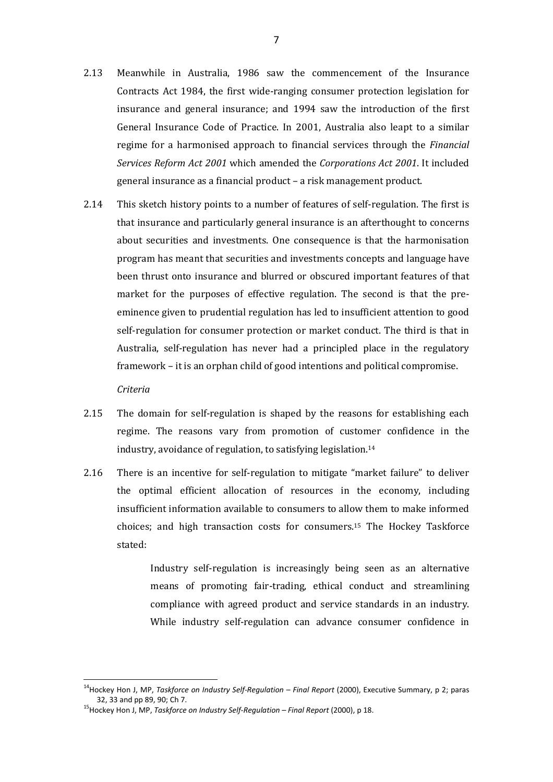- 2.13 Meanwhile in Australia, 1986 saw the commencement of the Insurance Contracts Act 1984, the first wide-ranging consumer protection legislation for insurance and general insurance; and 1994 saw the introduction of the first General Insurance Code of Practice. In 2001, Australia also leapt to a similar regime for a harmonised approach to financial services through the *Financial Services Reform Act 2001* which amended the *Corporations Act 2001*. It included general insurance as a financial product – a risk management product.
- 2.14 This sketch history points to a number of features of self-regulation. The first is that insurance and particularly general insurance is an afterthought to concerns about securities and investments. One consequence is that the harmonisation program has meant that securities and investments concepts and language have been thrust onto insurance and blurred or obscured important features of that market for the purposes of effective regulation. The second is that the preeminence given to prudential regulation has led to insufficient attention to good self-regulation for consumer protection or market conduct. The third is that in Australia, self-regulation has never had a principled place in the regulatory framework – it is an orphan child of good intentions and political compromise.

*Criteria* 

 $\overline{a}$ 

- 2.15 The domain for self-regulation is shaped by the reasons for establishing each regime. The reasons vary from promotion of customer confidence in the industry, avoidance of regulation, to satisfying legislation.<sup>14</sup>
- 2.16 There is an incentive for self-regulation to mitigate "market failure" to deliver the optimal efficient allocation of resources in the economy, including insufficient information available to consumers to allow them to make informed choices; and high transaction costs for consumers.15 The Hockey Taskforce stated:

Industry self-regulation is increasingly being seen as an alternative means of promoting fair-trading, ethical conduct and streamlining compliance with agreed product and service standards in an industry. While industry self-regulation can advance consumer confidence in

<sup>14</sup>Hockey Hon J, MP, *Taskforce on Industry Self-Regulation – Final Report* (2000), Executive Summary, p 2; paras 32, 33 and pp 89, 90; Ch 7.

<sup>15</sup>Hockey Hon J, MP, *Taskforce on Industry Self-Regulation – Final Report* (2000), p 18.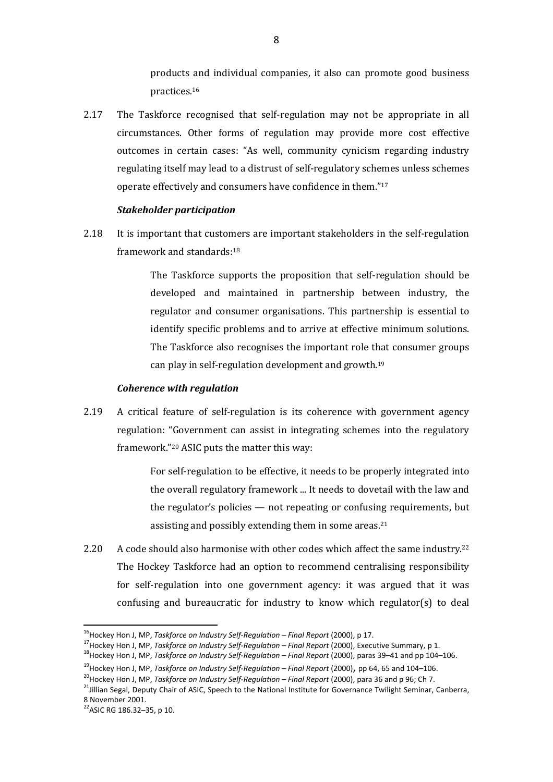products and individual companies, it also can promote good business practices*.* 16

2.17 The Taskforce recognised that self-regulation may not be appropriate in all circumstances. Other forms of regulation may provide more cost effective outcomes in certain cases: "As well, community cynicism regarding industry regulating itself may lead to a distrust of self-regulatory schemes unless schemes operate effectively and consumers have confidence in them."<sup>17</sup>

#### *Stakeholder participation*

2.18 It is important that customers are important stakeholders in the self-regulation framework and standards:<sup>18</sup>

> The Taskforce supports the proposition that self-regulation should be developed and maintained in partnership between industry, the regulator and consumer organisations. This partnership is essential to identify specific problems and to arrive at effective minimum solutions. The Taskforce also recognises the important role that consumer groups can play in self-regulation development and growth.<sup>19</sup>

#### *Coherence with regulation*

2.19 A critical feature of self-regulation is its coherence with government agency regulation: "Government can assist in integrating schemes into the regulatory framework."20 ASIC puts the matter this way:

> For self-regulation to be effective, it needs to be properly integrated into the overall regulatory framework ... It needs to dovetail with the law and the regulator's policies — not repeating or confusing requirements, but assisting and possibly extending them in some areas.<sup>21</sup>

2.20 A code should also harmonise with other codes which affect the same industry.<sup>22</sup> The Hockey Taskforce had an option to recommend centralising responsibility for self-regulation into one government agency: it was argued that it was confusing and bureaucratic for industry to know which regulator(s) to deal

<sup>&</sup>lt;sup>16</sup>Hockey Hon J, MP, *Taskforce on Industry Self-Regulation – Final Report* (2000), p 17.

<sup>17</sup>Hockey Hon J, MP, *Taskforce on Industry Self-Regulation – Final Report* (2000), Executive Summary, p 1.

<sup>18</sup>Hockey Hon J, MP, *Taskforce on Industry Self-Regulation – Final Report* (2000), paras 39–41 and pp 104–106.

<sup>19</sup>Hockey Hon J, MP, *Taskforce on Industry Self-Regulation – Final Report* (2000), pp 64, 65 and 104–106.

<sup>&</sup>lt;sup>20</sup>Hockey Hon J, MP, *Taskforce on Industry Self-Regulation – Final Report* (2000), para 36 and p 96; Ch 7.

<sup>&</sup>lt;sup>21</sup>Jillian Segal, Deputy Chair of ASIC, Speech to the National Institute for Governance Twilight Seminar, Canberra, 8 November 2001.

 $22$ ASIC RG 186.32-35, p 10.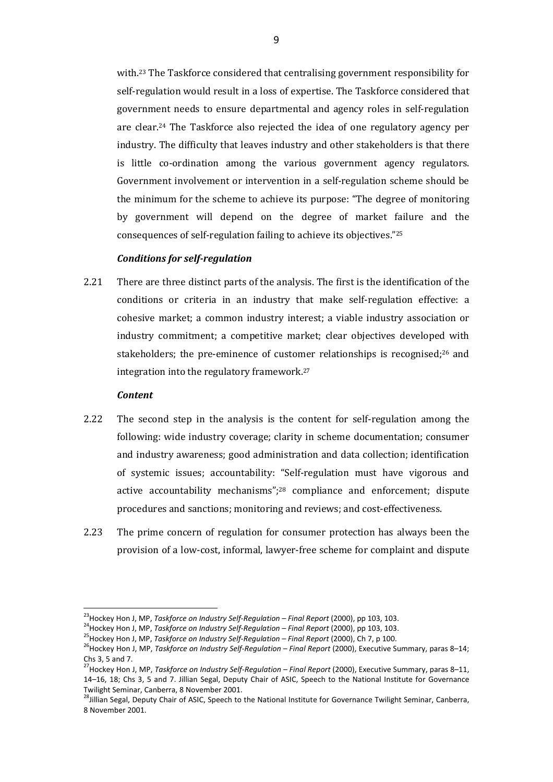with.23 The Taskforce considered that centralising government responsibility for self-regulation would result in a loss of expertise. The Taskforce considered that government needs to ensure departmental and agency roles in self-regulation are clear.24 The Taskforce also rejected the idea of one regulatory agency per industry. The difficulty that leaves industry and other stakeholders is that there is little co-ordination among the various government agency regulators. Government involvement or intervention in a self-regulation scheme should be the minimum for the scheme to achieve its purpose: "The degree of monitoring by government will depend on the degree of market failure and the consequences of self-regulation failing to achieve its objectives."<sup>25</sup>

## *Conditions for self-regulation*

2.21 There are three distinct parts of the analysis. The first is the identification of the conditions or criteria in an industry that make self-regulation effective: a cohesive market; a common industry interest; a viable industry association or industry commitment; a competitive market; clear objectives developed with stakeholders; the pre-eminence of customer relationships is recognised;26 and integration into the regulatory framework.<sup>27</sup>

#### *Content*

 $\overline{\phantom{a}}$ 

- 2.22 The second step in the analysis is the content for self-regulation among the following: wide industry coverage; clarity in scheme documentation; consumer and industry awareness; good administration and data collection; identification of systemic issues; accountability: "Self-regulation must have vigorous and active accountability mechanisms";28 compliance and enforcement; dispute procedures and sanctions; monitoring and reviews; and cost-effectiveness.
- 2.23 The prime concern of regulation for consumer protection has always been the provision of a low-cost, informal, lawyer-free scheme for complaint and dispute

<sup>23</sup>Hockey Hon J, MP, *Taskforce on Industry Self-Regulation – Final Report* (2000), pp 103, 103.

<sup>24</sup>Hockey Hon J, MP, *Taskforce on Industry Self-Regulation – Final Report* (2000), pp 103, 103.

<sup>25</sup>Hockey Hon J, MP, *Taskforce on Industry Self-Regulation – Final Report* (2000), Ch 7, p 100.

<sup>&</sup>lt;sup>26</sup> Hockey Hon J, MP, *Taskforce on Industry Self-Regulation – Final Report* (2000), Executive Summary, paras 8–14; Chs 3, 5 and 7.

<sup>27</sup>Hockey Hon J, MP, *Taskforce on Industry Self-Regulation – Final Report* (2000), Executive Summary, paras 8–11, 14–16, 18; Chs 3, 5 and 7. Jillian Segal, Deputy Chair of ASIC, Speech to the National Institute for Governance Twilight Seminar, Canberra, 8 November 2001.

<sup>&</sup>lt;sup>28</sup>Jillian Segal, Deputy Chair of ASIC, Speech to the National Institute for Governance Twilight Seminar, Canberra, 8 November 2001.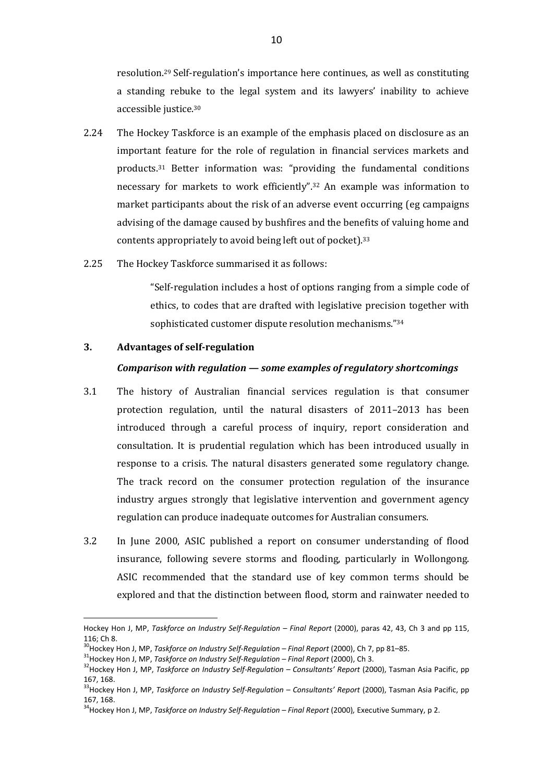resolution.29 Self-regulation's importance here continues, as well as constituting a standing rebuke to the legal system and its lawyers' inability to achieve accessible justice.<sup>30</sup>

- 2.24 The Hockey Taskforce is an example of the emphasis placed on disclosure as an important feature for the role of regulation in financial services markets and products.31 Better information was: "providing the fundamental conditions necessary for markets to work efficiently".32 An example was information to market participants about the risk of an adverse event occurring (eg campaigns advising of the damage caused by bushfires and the benefits of valuing home and contents appropriately to avoid being left out of pocket).<sup>33</sup>
- 2.25 The Hockey Taskforce summarised it as follows:

"Self-regulation includes a host of options ranging from a simple code of ethics, to codes that are drafted with legislative precision together with sophisticated customer dispute resolution mechanisms."<sup>34</sup>

## **3. Advantages of self-regulation**

 $\overline{a}$ 

#### *Comparison with regulation — some examples of regulatory shortcomings*

- 3.1 The history of Australian financial services regulation is that consumer protection regulation, until the natural disasters of 2011–2013 has been introduced through a careful process of inquiry, report consideration and consultation. It is prudential regulation which has been introduced usually in response to a crisis. The natural disasters generated some regulatory change. The track record on the consumer protection regulation of the insurance industry argues strongly that legislative intervention and government agency regulation can produce inadequate outcomes for Australian consumers.
- 3.2 In June 2000, ASIC published a report on consumer understanding of flood insurance, following severe storms and flooding, particularly in Wollongong. ASIC recommended that the standard use of key common terms should be explored and that the distinction between flood, storm and rainwater needed to

Hockey Hon J, MP, *Taskforce on Industry Self-Regulation – Final Report* (2000), paras 42, 43, Ch 3 and pp 115,  $116:$  Ch  $8$ 

<sup>30</sup>Hockey Hon J, MP, *Taskforce on Industry Self-Regulation – Final Report* (2000), Ch 7, pp 81–85.

<sup>31</sup>Hockey Hon J, MP, *Taskforce on Industry Self-Regulation – Final Report* (2000), Ch 3.

<sup>32</sup>Hockey Hon J, MP, *Taskforce on Industry Self-Regulation – Consultants' Report* (2000), Tasman Asia Pacific, pp 167, 168.

<sup>33</sup>Hockey Hon J, MP, *Taskforce on Industry Self-Regulation – Consultants' Report* (2000), Tasman Asia Pacific, pp 167, 168.

<sup>&</sup>lt;sup>34</sup>Hockey Hon J, MP, *Taskforce on Industry Self-Regulation – Final Report* (2000), Executive Summary, p 2.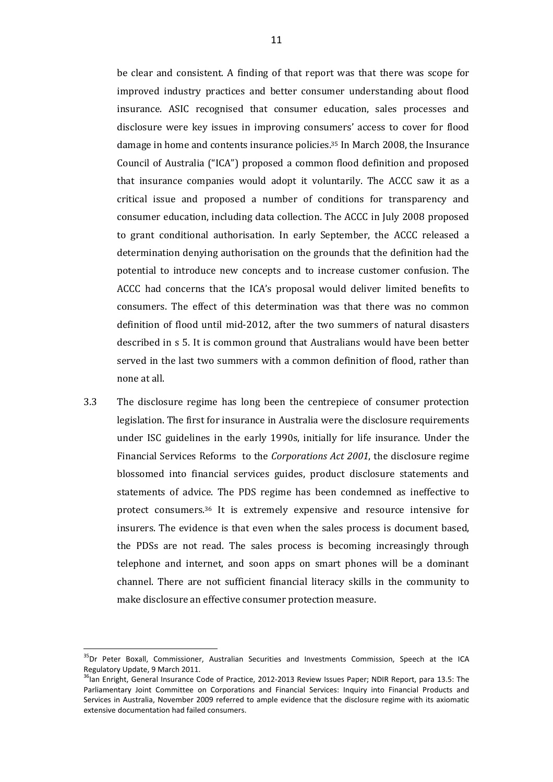be clear and consistent. A finding of that report was that there was scope for improved industry practices and better consumer understanding about flood insurance. ASIC recognised that consumer education, sales processes and disclosure were key issues in improving consumers' access to cover for flood damage in home and contents insurance policies.35 In March 2008, the Insurance Council of Australia ("ICA") proposed a common flood definition and proposed that insurance companies would adopt it voluntarily. The ACCC saw it as a critical issue and proposed a number of conditions for transparency and consumer education, including data collection. The ACCC in July 2008 proposed to grant conditional authorisation. In early September, the ACCC released a determination denying authorisation on the grounds that the definition had the potential to introduce new concepts and to increase customer confusion. The ACCC had concerns that the ICA's proposal would deliver limited benefits to consumers. The effect of this determination was that there was no common definition of flood until mid-2012, after the two summers of natural disasters described in s 5. It is common ground that Australians would have been better served in the last two summers with a common definition of flood, rather than none at all.

3.3 The disclosure regime has long been the centrepiece of consumer protection legislation. The first for insurance in Australia were the disclosure requirements under ISC guidelines in the early 1990s, initially for life insurance. Under the Financial Services Reforms to the *Corporations Act 2001*, the disclosure regime blossomed into financial services guides, product disclosure statements and statements of advice. The PDS regime has been condemned as ineffective to protect consumers.36 It is extremely expensive and resource intensive for insurers. The evidence is that even when the sales process is document based, the PDSs are not read. The sales process is becoming increasingly through telephone and internet, and soon apps on smart phones will be a dominant channel. There are not sufficient financial literacy skills in the community to make disclosure an effective consumer protection measure.

<sup>&</sup>lt;sup>35</sup>Dr Peter Boxall, Commissioner, Australian Securities and Investments Commission, Speech at the ICA Regulatory Update, 9 March 2011.

<sup>&</sup>lt;sup>36</sup>Ian Enright, General Insurance Code of Practice, 2012-2013 Review Issues Paper; NDIR Report, para 13.5: The Parliamentary Joint Committee on Corporations and Financial Services: Inquiry into Financial Products and Services in Australia, November 2009 referred to ample evidence that the disclosure regime with its axiomatic extensive documentation had failed consumers.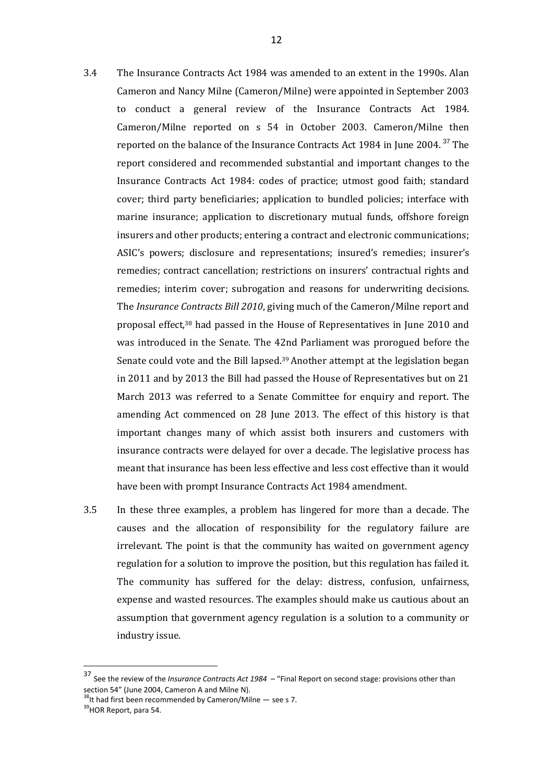- 3.4 The Insurance Contracts Act 1984 was amended to an extent in the 1990s. Alan Cameron and Nancy Milne (Cameron/Milne) were appointed in September 2003 to conduct a general review of the Insurance Contracts Act 1984. Cameron/Milne reported on s 54 in October 2003. Cameron/Milne then reported on the balance of the Insurance Contracts Act 1984 in June 2004.<sup>37</sup> The report considered and recommended substantial and important changes to the Insurance Contracts Act 1984: codes of practice; utmost good faith; standard cover; third party beneficiaries; application to bundled policies; interface with marine insurance; application to discretionary mutual funds, offshore foreign insurers and other products; entering a contract and electronic communications; ASIC's powers; disclosure and representations; insured's remedies; insurer's remedies; contract cancellation; restrictions on insurers' contractual rights and remedies; interim cover; subrogation and reasons for underwriting decisions. The *Insurance Contracts Bill 2010*, giving much of the Cameron/Milne report and proposal effect,38 had passed in the House of Representatives in June 2010 and was introduced in the Senate. The 42nd Parliament was prorogued before the Senate could vote and the Bill lapsed.39 Another attempt at the legislation began in 2011 and by 2013 the Bill had passed the House of Representatives but on 21 March 2013 was referred to a Senate Committee for enquiry and report. The amending Act commenced on 28 June 2013. The effect of this history is that important changes many of which assist both insurers and customers with insurance contracts were delayed for over a decade. The legislative process has meant that insurance has been less effective and less cost effective than it would have been with prompt Insurance Contracts Act 1984 amendment.
- 3.5 In these three examples, a problem has lingered for more than a decade. The causes and the allocation of responsibility for the regulatory failure are irrelevant. The point is that the community has waited on government agency regulation for a solution to improve the position, but this regulation has failed it. The community has suffered for the delay: distress, confusion, unfairness, expense and wasted resources. The examples should make us cautious about an assumption that government agency regulation is a solution to a community or industry issue.

<sup>37</sup> See the review of the *Insurance Contracts Act 1984* – "Final Report on second stage: provisions other than section 54" (June 2004, Cameron A and Milne N).

 $38$ <sup>38</sup>It had first been recommended by Cameron/Milne  $-$  see s 7.

<sup>&</sup>lt;sup>39</sup>HOR Report, para 54.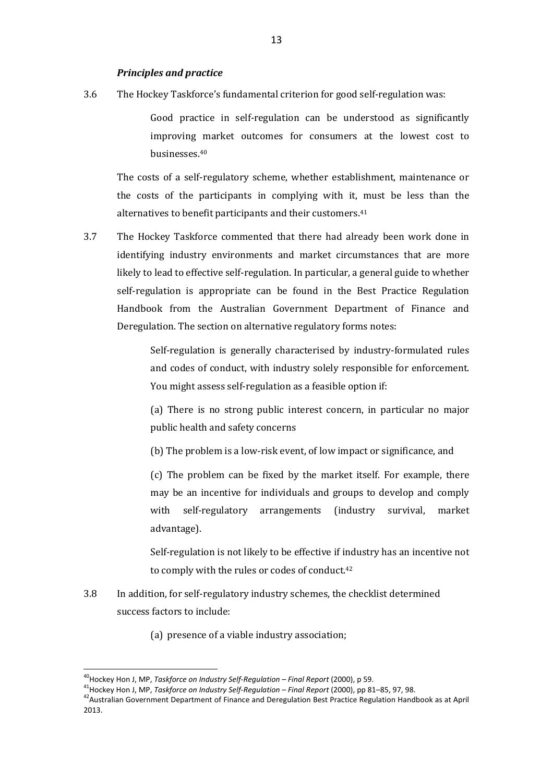3.6 The Hockey Taskforce's fundamental criterion for good self-regulation was:

Good practice in self-regulation can be understood as significantly improving market outcomes for consumers at the lowest cost to businesses.<sup>40</sup>

The costs of a self-regulatory scheme, whether establishment, maintenance or the costs of the participants in complying with it, must be less than the alternatives to benefit participants and their customers.<sup>41</sup>

3.7 The Hockey Taskforce commented that there had already been work done in identifying industry environments and market circumstances that are more likely to lead to effective self-regulation. In particular, a general guide to whether self-regulation is appropriate can be found in the Best Practice Regulation Handbook from the Australian Government Department of Finance and Deregulation. The section on alternative regulatory forms notes:

> Self-regulation is generally characterised by industry-formulated rules and codes of conduct, with industry solely responsible for enforcement. You might assess self-regulation as a feasible option if:

> (a) There is no strong public interest concern, in particular no major public health and safety concerns

(b) The problem is a low-risk event, of low impact or significance, and

(c) The problem can be fixed by the market itself. For example, there may be an incentive for individuals and groups to develop and comply with self-regulatory arrangements (industry survival, market advantage).

Self-regulation is not likely to be effective if industry has an incentive not to comply with the rules or codes of conduct.<sup>42</sup>

- 3.8 In addition, for self-regulatory industry schemes, the checklist determined success factors to include:
	- (a) presence of a viable industry association;

<sup>40</sup>Hockey Hon J, MP, *Taskforce on Industry Self-Regulation – Final Report* (2000), p 59.

<sup>41</sup>Hockey Hon J, MP, *Taskforce on Industry Self-Regulation – Final Report* (2000), pp 81–85, 97, 98.

<sup>&</sup>lt;sup>42</sup>Australian Government Department of Finance and Deregulation Best Practice Regulation Handbook as at April 2013.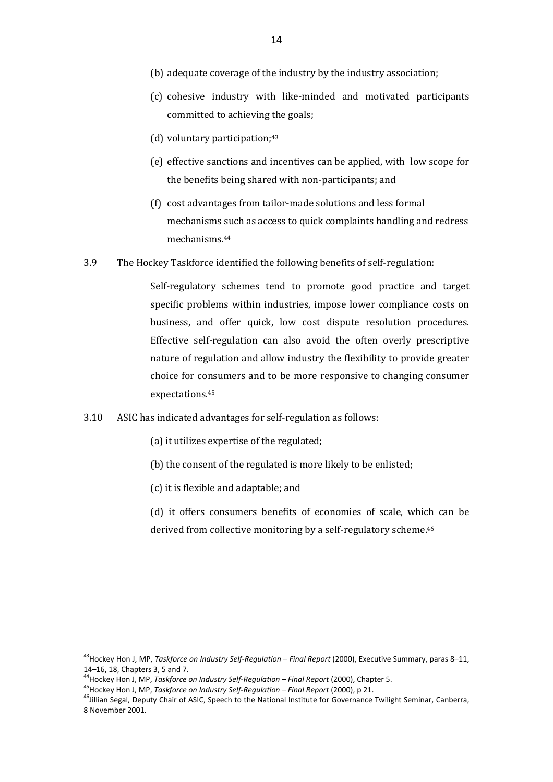- (b) adequate coverage of the industry by the industry association;
- (c) cohesive industry with like-minded and motivated participants committed to achieving the goals;
- (d) voluntary participation:<sup>43</sup>
- (e) effective sanctions and incentives can be applied, with low scope for the benefits being shared with non-participants; and
- (f) cost advantages from tailor-made solutions and less formal mechanisms such as access to quick complaints handling and redress mechanisms.<sup>44</sup>
- 3.9 The Hockey Taskforce identified the following benefits of self-regulation:

Self-regulatory schemes tend to promote good practice and target specific problems within industries, impose lower compliance costs on business, and offer quick, low cost dispute resolution procedures. Effective self-regulation can also avoid the often overly prescriptive nature of regulation and allow industry the flexibility to provide greater choice for consumers and to be more responsive to changing consumer expectations.<sup>45</sup>

- 3.10 ASIC has indicated advantages for self-regulation as follows:
	- (a) it utilizes expertise of the regulated;
	- (b) the consent of the regulated is more likely to be enlisted;
	- (c) it is flexible and adaptable; and
	- (d) it offers consumers benefits of economies of scale, which can be derived from collective monitoring by a self-regulatory scheme.<sup>46</sup>

<sup>43</sup>Hockey Hon J, MP, *Taskforce on Industry Self-Regulation – Final Report* (2000), Executive Summary, paras 8–11, 14–16, 18, Chapters 3, 5 and 7.

<sup>44</sup>Hockey Hon J, MP, *Taskforce on Industry Self-Regulation – Final Report* (2000), Chapter 5.

<sup>45</sup>Hockey Hon J, MP, *Taskforce on Industry Self-Regulation – Final Report* (2000), p 21.

<sup>&</sup>lt;sup>46</sup>Jillian Segal, Deputy Chair of ASIC, Speech to the National Institute for Governance Twilight Seminar, Canberra, 8 November 2001.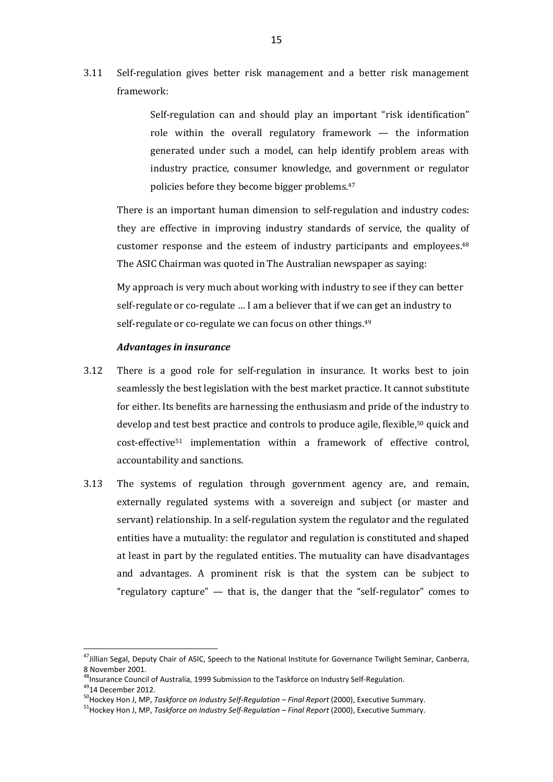3.11 Self-regulation gives better risk management and a better risk management framework:

> Self-regulation can and should play an important "risk identification" role within the overall regulatory framework — the information generated under such a model, can help identify problem areas with industry practice, consumer knowledge, and government or regulator policies before they become bigger problems.<sup>47</sup>

There is an important human dimension to self-regulation and industry codes: they are effective in improving industry standards of service, the quality of customer response and the esteem of industry participants and employees.<sup>48</sup> The ASIC Chairman was quoted in The Australian newspaper as saying:

My approach is very much about working with industry to see if they can better self-regulate or co-regulate … I am a believer that if we can get an industry to self-regulate or co-regulate we can focus on other things.<sup>49</sup>

#### *Advantages in insurance*

- 3.12 There is a good role for self-regulation in insurance. It works best to join seamlessly the best legislation with the best market practice. It cannot substitute for either. Its benefits are harnessing the enthusiasm and pride of the industry to develop and test best practice and controls to produce agile, flexible,50 quick and cost-effective51 implementation within a framework of effective control, accountability and sanctions.
- 3.13 The systems of regulation through government agency are, and remain, externally regulated systems with a sovereign and subject (or master and servant) relationship. In a self-regulation system the regulator and the regulated entities have a mutuality: the regulator and regulation is constituted and shaped at least in part by the regulated entities. The mutuality can have disadvantages and advantages. A prominent risk is that the system can be subject to "regulatory capture"  $-$  that is, the danger that the "self-regulator" comes to

<sup>&</sup>lt;sup>47</sup>Jillian Segal, Deputy Chair of ASIC, Speech to the National Institute for Governance Twilight Seminar, Canberra, 8 November 2001.

<sup>&</sup>lt;sup>48</sup>Insurance Council of Australia, 1999 Submission to the Taskforce on Industry Self-Regulation.

<sup>49</sup>14 December 2012.

<sup>&</sup>lt;sup>50</sup>Hockey Hon J, MP, *Taskforce on Industry Self-Regulation – Final Report* (2000), Executive Summary.

<sup>51</sup>Hockey Hon J, MP, *Taskforce on Industry Self-Regulation – Final Report* (2000), Executive Summary.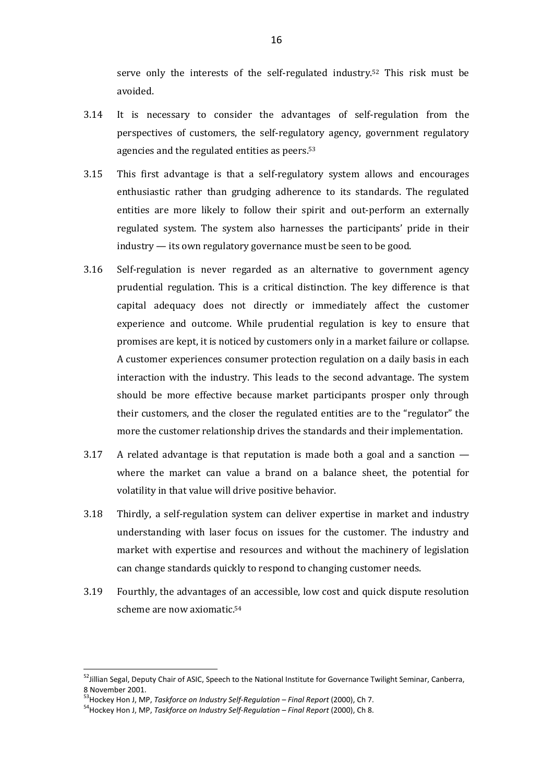serve only the interests of the self-regulated industry.52 This risk must be avoided.

- 3.14 It is necessary to consider the advantages of self-regulation from the perspectives of customers, the self-regulatory agency, government regulatory agencies and the regulated entities as peers.<sup>53</sup>
- 3.15 This first advantage is that a self-regulatory system allows and encourages enthusiastic rather than grudging adherence to its standards. The regulated entities are more likely to follow their spirit and out-perform an externally regulated system. The system also harnesses the participants' pride in their industry — its own regulatory governance must be seen to be good.
- 3.16 Self-regulation is never regarded as an alternative to government agency prudential regulation. This is a critical distinction. The key difference is that capital adequacy does not directly or immediately affect the customer experience and outcome. While prudential regulation is key to ensure that promises are kept, it is noticed by customers only in a market failure or collapse. A customer experiences consumer protection regulation on a daily basis in each interaction with the industry. This leads to the second advantage. The system should be more effective because market participants prosper only through their customers, and the closer the regulated entities are to the "regulator" the more the customer relationship drives the standards and their implementation.
- $3.17$  A related advantage is that reputation is made both a goal and a sanction  $$ where the market can value a brand on a balance sheet, the potential for volatility in that value will drive positive behavior.
- 3.18 Thirdly, a self-regulation system can deliver expertise in market and industry understanding with laser focus on issues for the customer. The industry and market with expertise and resources and without the machinery of legislation can change standards quickly to respond to changing customer needs.
- 3.19 Fourthly, the advantages of an accessible, low cost and quick dispute resolution scheme are now axiomatic.<sup>54</sup>

<sup>&</sup>lt;sup>52</sup>Jillian Segal, Deputy Chair of ASIC, Speech to the National Institute for Governance Twilight Seminar, Canberra, 8 November 2001.

<sup>53</sup>Hockey Hon J, MP, *Taskforce on Industry Self-Regulation – Final Report* (2000), Ch 7.

<sup>54</sup>Hockey Hon J, MP, *Taskforce on Industry Self-Regulation – Final Report* (2000), Ch 8.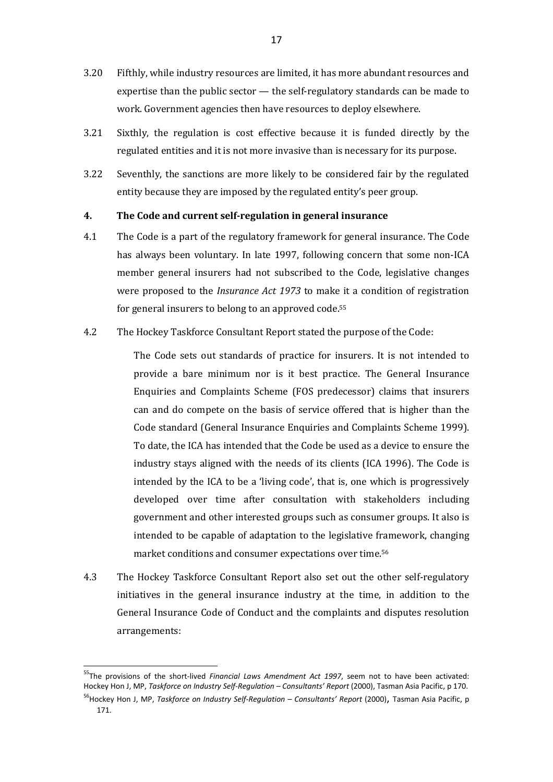- 3.20 Fifthly, while industry resources are limited, it has more abundant resources and expertise than the public sector — the self-regulatory standards can be made to work. Government agencies then have resources to deploy elsewhere.
- 3.21 Sixthly, the regulation is cost effective because it is funded directly by the regulated entities and it is not more invasive than is necessary for its purpose.
- 3.22 Seventhly, the sanctions are more likely to be considered fair by the regulated entity because they are imposed by the regulated entity's peer group.

## **4. The Code and current self-regulation in general insurance**

- 4.1 The Code is a part of the regulatory framework for general insurance. The Code has always been voluntary. In late 1997, following concern that some non-ICA member general insurers had not subscribed to the Code, legislative changes were proposed to the *Insurance Act 1973* to make it a condition of registration for general insurers to belong to an approved code.<sup>55</sup>
- 4.2 The Hockey Taskforce Consultant Report stated the purpose of the Code:

The Code sets out standards of practice for insurers. It is not intended to provide a bare minimum nor is it best practice. The General Insurance Enquiries and Complaints Scheme (FOS predecessor) claims that insurers can and do compete on the basis of service offered that is higher than the Code standard (General Insurance Enquiries and Complaints Scheme 1999). To date, the ICA has intended that the Code be used as a device to ensure the industry stays aligned with the needs of its clients (ICA 1996). The Code is intended by the ICA to be a 'living code', that is, one which is progressively developed over time after consultation with stakeholders including government and other interested groups such as consumer groups. It also is intended to be capable of adaptation to the legislative framework, changing market conditions and consumer expectations over time. 56

4.3 The Hockey Taskforce Consultant Report also set out the other self-regulatory initiatives in the general insurance industry at the time, in addition to the General Insurance Code of Conduct and the complaints and disputes resolution arrangements:

<sup>55</sup>The provisions of the short-lived *Financial Laws Amendment Act 1997*, seem not to have been activated: Hockey Hon J, MP, *Taskforce on Industry Self-Regulation – Consultants' Report* (2000), Tasman Asia Pacific, p 170.

<sup>&</sup>lt;sup>56</sup>Hockey Hon J, MP, *Taskforce on Industry Self-Requlation – Consultants' Report* (2000), Tasman Asia Pacific, p 171.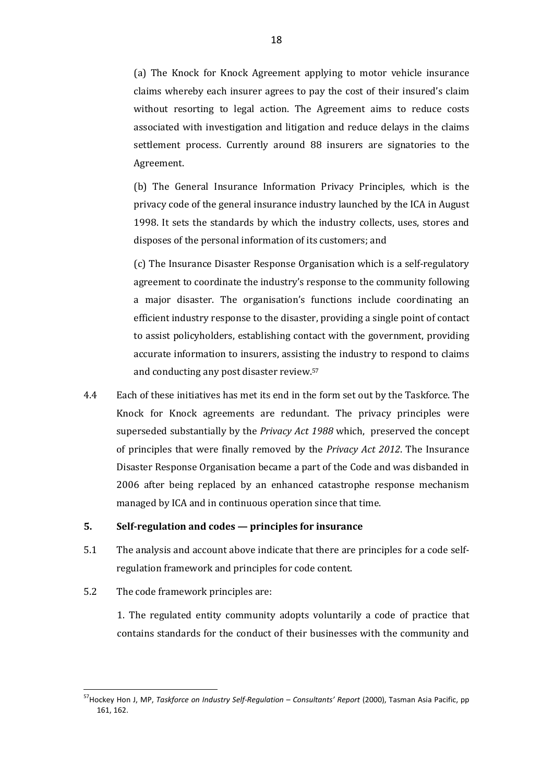(a) The Knock for Knock Agreement applying to motor vehicle insurance claims whereby each insurer agrees to pay the cost of their insured's claim without resorting to legal action. The Agreement aims to reduce costs associated with investigation and litigation and reduce delays in the claims settlement process. Currently around 88 insurers are signatories to the Agreement.

(b) The General Insurance Information Privacy Principles, which is the privacy code of the general insurance industry launched by the ICA in August 1998. It sets the standards by which the industry collects, uses, stores and disposes of the personal information of its customers; and

(c) The Insurance Disaster Response Organisation which is a self-regulatory agreement to coordinate the industry's response to the community following a major disaster. The organisation's functions include coordinating an efficient industry response to the disaster, providing a single point of contact to assist policyholders, establishing contact with the government, providing accurate information to insurers, assisting the industry to respond to claims and conducting any post disaster review.<sup>57</sup>

4.4 Each of these initiatives has met its end in the form set out by the Taskforce. The Knock for Knock agreements are redundant. The privacy principles were superseded substantially by the *Privacy Act 1988* which, preserved the concept of principles that were finally removed by the *Privacy Act 2012*. The Insurance Disaster Response Organisation became a part of the Code and was disbanded in 2006 after being replaced by an enhanced catastrophe response mechanism managed by ICA and in continuous operation since that time.

#### **5. Self-regulation and codes — principles for insurance**

- 5.1 The analysis and account above indicate that there are principles for a code selfregulation framework and principles for code content.
- 5.2 The code framework principles are:

 $\overline{a}$ 

1. The regulated entity community adopts voluntarily a code of practice that contains standards for the conduct of their businesses with the community and

<sup>57</sup>Hockey Hon J, MP, *Taskforce on Industry Self-Regulation – Consultants' Report* (2000), Tasman Asia Pacific, pp 161, 162.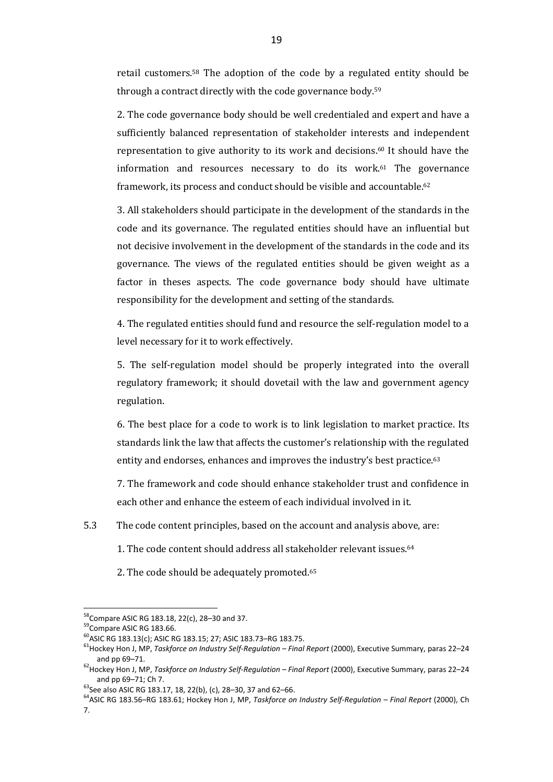retail customers.58 The adoption of the code by a regulated entity should be through a contract directly with the code governance body.<sup>59</sup>

2. The code governance body should be well credentialed and expert and have a sufficiently balanced representation of stakeholder interests and independent representation to give authority to its work and decisions.60 It should have the information and resources necessary to do its work.61 The governance framework, its process and conduct should be visible and accountable.<sup>62</sup>

3. All stakeholders should participate in the development of the standards in the code and its governance. The regulated entities should have an influential but not decisive involvement in the development of the standards in the code and its governance. The views of the regulated entities should be given weight as a factor in theses aspects. The code governance body should have ultimate responsibility for the development and setting of the standards.

4. The regulated entities should fund and resource the self-regulation model to a level necessary for it to work effectively.

5. The self-regulation model should be properly integrated into the overall regulatory framework; it should dovetail with the law and government agency regulation.

6. The best place for a code to work is to link legislation to market practice. Its standards link the law that affects the customer's relationship with the regulated entity and endorses, enhances and improves the industry's best practice.<sup>63</sup>

7. The framework and code should enhance stakeholder trust and confidence in each other and enhance the esteem of each individual involved in it.

5.3 The code content principles, based on the account and analysis above, are:

- 1. The code content should address all stakeholder relevant issues.<sup>64</sup>
- 2. The code should be adequately promoted.<sup>65</sup>

 $58$ Compare ASIC RG 183.18, 22(c), 28–30 and 37.

<sup>&</sup>lt;sup>59</sup>Compare ASIC RG 183.66.

<sup>60</sup>ASIC RG 183.13(c); ASIC RG 183.15; 27; ASIC 183.73–RG 183.75.

<sup>61</sup>Hockey Hon J, MP, *Taskforce on Industry Self-Regulation – Final Report* (2000), Executive Summary, paras 22–24 and pp 69–71.

<sup>62</sup>Hockey Hon J, MP, *Taskforce on Industry Self-Regulation – Final Report* (2000), Executive Summary, paras 22–24 and pp 69–71; Ch 7.

<sup>&</sup>lt;sup>63</sup>See also ASIC RG 183.17, 18, 22(b), (c), 28–30, 37 and 62–66.

<sup>64</sup>ASIC RG 183.56–RG 183.61; Hockey Hon J, MP, *Taskforce on Industry Self-Regulation – Final Report* (2000), Ch 7.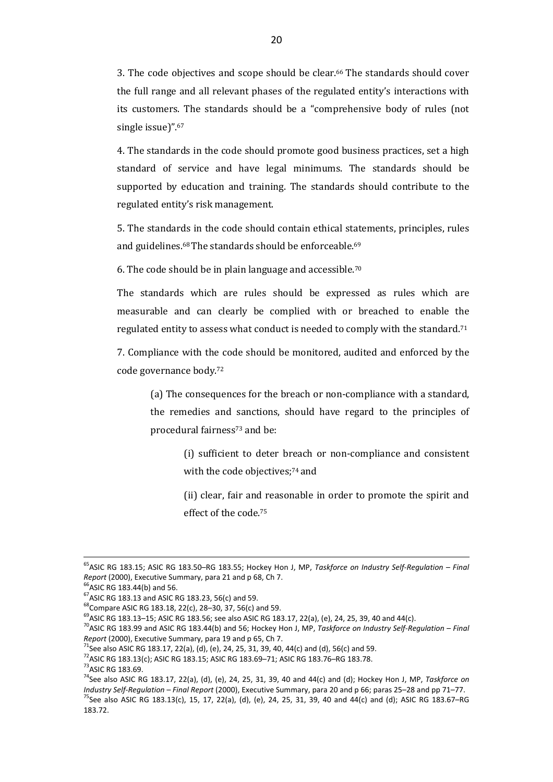3. The code objectives and scope should be clear.66 The standards should cover the full range and all relevant phases of the regulated entity's interactions with its customers. The standards should be a "comprehensive body of rules (not single issue)".<sup>67</sup>

4. The standards in the code should promote good business practices, set a high standard of service and have legal minimums. The standards should be supported by education and training. The standards should contribute to the regulated entity's risk management.

5. The standards in the code should contain ethical statements, principles, rules and guidelines.68 The standards should be enforceable.<sup>69</sup>

6. The code should be in plain language and accessible.<sup>70</sup>

The standards which are rules should be expressed as rules which are measurable and can clearly be complied with or breached to enable the regulated entity to assess what conduct is needed to comply with the standard.<sup>71</sup>

7. Compliance with the code should be monitored, audited and enforced by the code governance body.<sup>72</sup>

(a) The consequences for the breach or non-compliance with a standard, the remedies and sanctions, should have regard to the principles of procedural fairness73 and be:

> (i) sufficient to deter breach or non-compliance and consistent with the code objectives;<sup>74</sup> and

> (ii) clear, fair and reasonable in order to promote the spirit and effect of the code.<sup>75</sup>

 $\overline{a}$ 

183.72.

<sup>65</sup>ASIC RG 183.15; ASIC RG 183.50–RG 183.55; Hockey Hon J, MP, *Taskforce on Industry Self-Regulation – Final Report* (2000), Executive Summary, para 21 and p 68, Ch 7.

 $66$ ASIC RG 183.44(b) and 56.

<sup>67</sup>ASIC RG 183.13 and ASIC RG 183.23, 56(c) and 59.

 $^{68}$ Compare ASIC RG 183.18, 22(c), 28-30, 37, 56(c) and 59.

 $^{69}$ ASIC RG 183.13–15; ASIC RG 183.56; see also ASIC RG 183.17, 22(a), (e), 24, 25, 39, 40 and 44(c).

<sup>70</sup>ASIC RG 183.99 and ASIC RG 183.44(b) and 56; Hockey Hon J, MP, *Taskforce on Industry Self-Regulation – Final Report* (2000), Executive Summary, para 19 and p 65, Ch 7.

<sup>&</sup>lt;sup>71</sup>See also ASIC RG 183.17, 22(a), (d), (e), 24, 25, 31, 39, 40, 44(c) and (d), 56(c) and 59.

<sup>72</sup>ASIC RG 183.13(c); ASIC RG 183.15; ASIC RG 183.69–71; ASIC RG 183.76–RG 183.78.

<sup>73</sup>ASIC RG 183.69.

<sup>74</sup>See also ASIC RG 183.17, 22(a), (d), (e), 24, 25, 31, 39, 40 and 44(c) and (d); Hockey Hon J, MP, *Taskforce on Industry Self-Regulation – Final Report* (2000), Executive Summary, para 20 and p 66; paras 25–28 and pp 71–77. <sup>75</sup>See also ASIC RG 183.13(c), 15, 17, 22(a), (d), (e), 24, 25, 31, 39, 40 and 44(c) and (d); ASIC RG 183.67–RG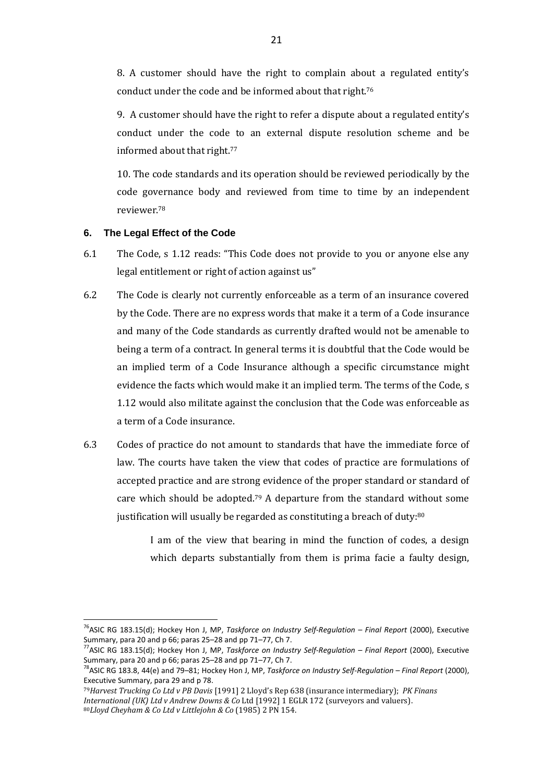8. A customer should have the right to complain about a regulated entity's conduct under the code and be informed about that right.<sup>76</sup>

9. A customer should have the right to refer a dispute about a regulated entity's conduct under the code to an external dispute resolution scheme and be informed about that right.<sup>77</sup>

10. The code standards and its operation should be reviewed periodically by the code governance body and reviewed from time to time by an independent reviewer.<sup>78</sup>

## **6. The Legal Effect of the Code**

 $\overline{a}$ 

- 6.1 The Code, s 1.12 reads: "This Code does not provide to you or anyone else any legal entitlement or right of action against us"
- 6.2 The Code is clearly not currently enforceable as a term of an insurance covered by the Code. There are no express words that make it a term of a Code insurance and many of the Code standards as currently drafted would not be amenable to being a term of a contract. In general terms it is doubtful that the Code would be an implied term of a Code Insurance although a specific circumstance might evidence the facts which would make it an implied term. The terms of the Code, s 1.12 would also militate against the conclusion that the Code was enforceable as a term of a Code insurance.
- 6.3 Codes of practice do not amount to standards that have the immediate force of law. The courts have taken the view that codes of practice are formulations of accepted practice and are strong evidence of the proper standard or standard of care which should be adopted.79 A departure from the standard without some justification will usually be regarded as constituting a breach of duty:<sup>80</sup>

I am of the view that bearing in mind the function of codes, a design which departs substantially from them is prima facie a faulty design,

<sup>&</sup>lt;sup>76</sup>ASIC RG 183.15(d); Hockey Hon J, MP, *Taskforce on Industry Self-Regulation – Final Report* (2000), Executive Summary, para 20 and p 66; paras 25–28 and pp 71–77, Ch 7.

<sup>77</sup>ASIC RG 183.15(d); Hockey Hon J, MP, *Taskforce on Industry Self-Regulation – Final Report* (2000), Executive Summary, para 20 and p 66; paras 25–28 and pp 71–77, Ch 7.

<sup>78</sup>ASIC RG 183.8, 44(e) and 79–81; Hockey Hon J, MP, *Taskforce on Industry Self-Regulation – Final Report* (2000), Executive Summary, para 29 and p 78.

<sup>79</sup>*Harvest Trucking Co Ltd v PB Davis* [1991] 2 Lloyd's Rep 638 (insurance intermediary); *PK Finans International (UK) Ltd v Andrew Downs & Co* Ltd [1992] 1 EGLR 172 (surveyors and valuers). 80*Lloyd Cheyham & Co Ltd v Littlejohn & Co* (1985) 2 PN 154.